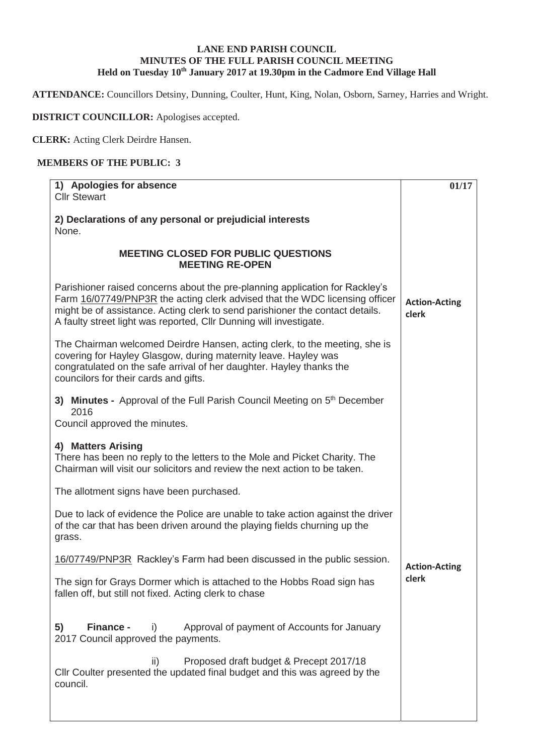## **LANE END PARISH COUNCIL MINUTES OF THE FULL PARISH COUNCIL MEETING**  Held on Tuesday 10<sup>th</sup> January 2017 at 19.30pm in the Cadmore End Village Hall

**ATTENDANCE:** Councillors Detsiny, Dunning, Coulter, Hunt, King, Nolan, Osborn, Sarney, Harries and Wright.

**DISTRICT COUNCILLOR:** Apologises accepted.

**CLERK:** Acting Clerk Deirdre Hansen.

## **MEMBERS OF THE PUBLIC: 3**

| 1) Apologies for absence                                                                                                                                                                                                                                                                                           | 01/17                         |  |  |  |
|--------------------------------------------------------------------------------------------------------------------------------------------------------------------------------------------------------------------------------------------------------------------------------------------------------------------|-------------------------------|--|--|--|
| <b>Cllr Stewart</b>                                                                                                                                                                                                                                                                                                |                               |  |  |  |
| 2) Declarations of any personal or prejudicial interests<br>None.                                                                                                                                                                                                                                                  |                               |  |  |  |
|                                                                                                                                                                                                                                                                                                                    |                               |  |  |  |
| <b>MEETING CLOSED FOR PUBLIC QUESTIONS</b><br><b>MEETING RE-OPEN</b>                                                                                                                                                                                                                                               |                               |  |  |  |
| Parishioner raised concerns about the pre-planning application for Rackley's<br>Farm 16/07749/PNP3R the acting clerk advised that the WDC licensing officer<br>might be of assistance. Acting clerk to send parishioner the contact details.<br>A faulty street light was reported, Cllr Dunning will investigate. | <b>Action-Acting</b><br>clerk |  |  |  |
| The Chairman welcomed Deirdre Hansen, acting clerk, to the meeting, she is<br>covering for Hayley Glasgow, during maternity leave. Hayley was<br>congratulated on the safe arrival of her daughter. Hayley thanks the<br>councilors for their cards and gifts.                                                     |                               |  |  |  |
| 3) Minutes - Approval of the Full Parish Council Meeting on 5 <sup>th</sup> December<br>2016<br>Council approved the minutes.                                                                                                                                                                                      |                               |  |  |  |
| 4) Matters Arising<br>There has been no reply to the letters to the Mole and Picket Charity. The<br>Chairman will visit our solicitors and review the next action to be taken.                                                                                                                                     |                               |  |  |  |
| The allotment signs have been purchased.                                                                                                                                                                                                                                                                           |                               |  |  |  |
| Due to lack of evidence the Police are unable to take action against the driver<br>of the car that has been driven around the playing fields churning up the<br>grass.                                                                                                                                             |                               |  |  |  |
| 16/07749/PNP3R Rackley's Farm had been discussed in the public session.                                                                                                                                                                                                                                            | <b>Action-Acting</b>          |  |  |  |
| The sign for Grays Dormer which is attached to the Hobbs Road sign has<br>fallen off, but still not fixed. Acting clerk to chase                                                                                                                                                                                   | clerk                         |  |  |  |
| 5)<br><b>Finance -</b><br>Approval of payment of Accounts for January<br>i)<br>2017 Council approved the payments.                                                                                                                                                                                                 |                               |  |  |  |
| Proposed draft budget & Precept 2017/18<br>ii)<br>CIIr Coulter presented the updated final budget and this was agreed by the<br>council.                                                                                                                                                                           |                               |  |  |  |
|                                                                                                                                                                                                                                                                                                                    |                               |  |  |  |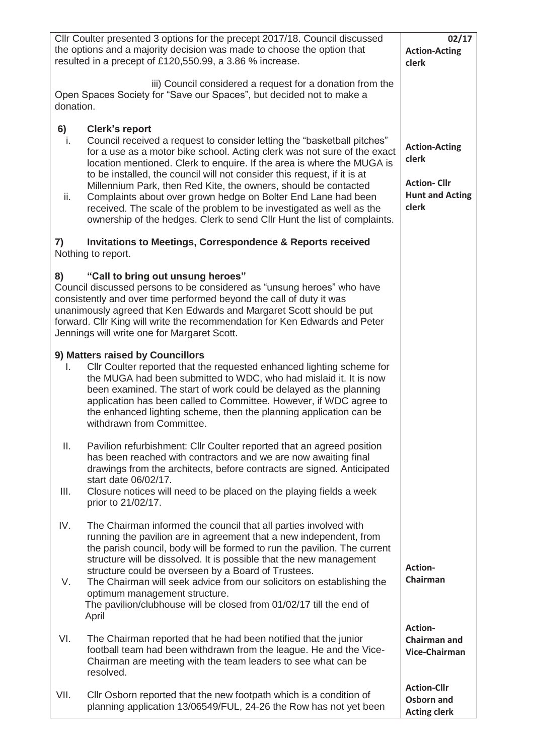| Cllr Coulter presented 3 options for the precept 2017/18. Council discussed<br>the options and a majority decision was made to choose the option that<br>resulted in a precept of £120,550.99, a 3.86 % increase.                                                                                                                                        | 02/17<br><b>Action-Acting</b><br>clerk                                                                                                                                                                                                                                                                                                                                                                                                                                                                                                                                                                                     |                                                                                        |
|----------------------------------------------------------------------------------------------------------------------------------------------------------------------------------------------------------------------------------------------------------------------------------------------------------------------------------------------------------|----------------------------------------------------------------------------------------------------------------------------------------------------------------------------------------------------------------------------------------------------------------------------------------------------------------------------------------------------------------------------------------------------------------------------------------------------------------------------------------------------------------------------------------------------------------------------------------------------------------------------|----------------------------------------------------------------------------------------|
| Open Spaces Society for "Save our Spaces", but decided not to make a<br>donation.                                                                                                                                                                                                                                                                        |                                                                                                                                                                                                                                                                                                                                                                                                                                                                                                                                                                                                                            |                                                                                        |
| 6)<br>i.<br>ii.                                                                                                                                                                                                                                                                                                                                          | <b>Clerk's report</b><br>Council received a request to consider letting the "basketball pitches"<br>for a use as a motor bike school. Acting clerk was not sure of the exact<br>location mentioned. Clerk to enquire. If the area is where the MUGA is<br>to be installed, the council will not consider this request, if it is at<br>Millennium Park, then Red Kite, the owners, should be contacted<br>Complaints about over grown hedge on Bolter End Lane had been<br>received. The scale of the problem to be investigated as well as the<br>ownership of the hedges. Clerk to send Cllr Hunt the list of complaints. | <b>Action-Acting</b><br>clerk<br><b>Action-Cllr</b><br><b>Hunt and Acting</b><br>clerk |
| 7)<br>Nothing to report.                                                                                                                                                                                                                                                                                                                                 |                                                                                                                                                                                                                                                                                                                                                                                                                                                                                                                                                                                                                            |                                                                                        |
| 8)<br>Council discussed persons to be considered as "unsung heroes" who have<br>consistently and over time performed beyond the call of duty it was<br>unanimously agreed that Ken Edwards and Margaret Scott should be put<br>forward. Cllr King will write the recommendation for Ken Edwards and Peter<br>Jennings will write one for Margaret Scott. |                                                                                                                                                                                                                                                                                                                                                                                                                                                                                                                                                                                                                            |                                                                                        |
| L.                                                                                                                                                                                                                                                                                                                                                       | 9) Matters raised by Councillors<br>Cllr Coulter reported that the requested enhanced lighting scheme for<br>the MUGA had been submitted to WDC, who had mislaid it. It is now<br>been examined. The start of work could be delayed as the planning<br>application has been called to Committee. However, if WDC agree to<br>the enhanced lighting scheme, then the planning application can be<br>withdrawn from Committee.                                                                                                                                                                                               |                                                                                        |
| Ш.<br>III.                                                                                                                                                                                                                                                                                                                                               | Pavilion refurbishment: Cllr Coulter reported that an agreed position<br>has been reached with contractors and we are now awaiting final<br>drawings from the architects, before contracts are signed. Anticipated<br>start date 06/02/17.<br>Closure notices will need to be placed on the playing fields a week<br>prior to 21/02/17.                                                                                                                                                                                                                                                                                    |                                                                                        |
| IV.<br>V.                                                                                                                                                                                                                                                                                                                                                | The Chairman informed the council that all parties involved with<br>running the pavilion are in agreement that a new independent, from<br>the parish council, body will be formed to run the pavilion. The current<br>structure will be dissolved. It is possible that the new management<br>structure could be overseen by a Board of Trustees.<br>The Chairman will seek advice from our solicitors on establishing the<br>optimum management structure.                                                                                                                                                                 | <b>Action-</b><br>Chairman                                                             |
| VI.                                                                                                                                                                                                                                                                                                                                                      | The pavilion/clubhouse will be closed from 01/02/17 till the end of<br>April<br>The Chairman reported that he had been notified that the junior<br>football team had been withdrawn from the league. He and the Vice-<br>Chairman are meeting with the team leaders to see what can be<br>resolved.                                                                                                                                                                                                                                                                                                                        | Action-<br><b>Chairman and</b><br><b>Vice-Chairman</b>                                 |
| VII.                                                                                                                                                                                                                                                                                                                                                     | Cllr Osborn reported that the new footpath which is a condition of<br>planning application 13/06549/FUL, 24-26 the Row has not yet been                                                                                                                                                                                                                                                                                                                                                                                                                                                                                    | <b>Action-Cllr</b><br>Osborn and<br><b>Acting clerk</b>                                |